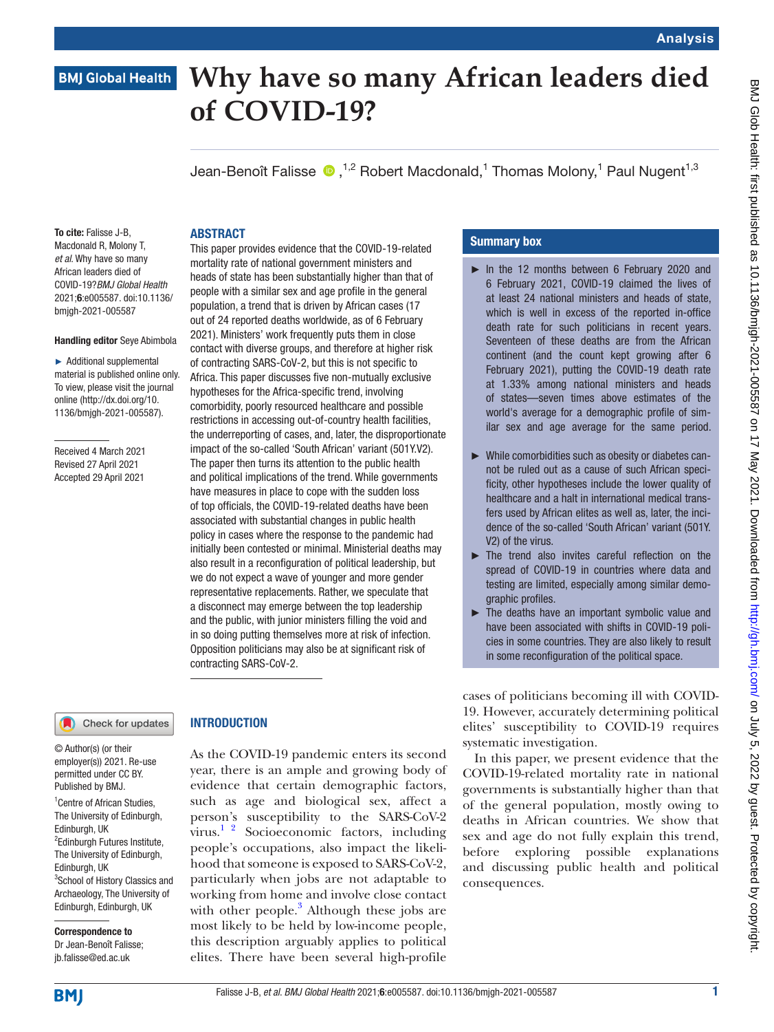# BMJ Glob Health: first published as 10.1136/bmjgh-2021-005587 on 17 May 2021. Downloaded from http://gh.bmj.com/ on July 5, 2022 by guest. Protected by copyright BMJ Glob Health: first published as 10.1136/bmjgh-2021-005587 on 17 May 2021. Downloaded from <http://gh.bmj.com/> on July 5, 2022 by guest. Protected by copyright.

# **BMJ Global Health**

# **Why have so many African leaders died of COVID-19?**

Jean-BenoîtFalisse  $\bigcirc$  ,<sup>1,2</sup> Robert Macdonald,<sup>1</sup> Thomas Molony,<sup>1</sup> Paul Nugent<sup>1,3</sup>

### **ABSTRACT** This paper provides evidence that the COVID-19-related

mortality rate of national government ministers and heads of state has been substantially higher than that of people with a similar sex and age profile in the general population, a trend that is driven by African cases (17 out of 24 reported deaths worldwide, as of 6 February 2021). Ministers' work frequently puts them in close contact with diverse groups, and therefore at higher risk of contracting SARS-CoV-2, but this is not specific to Africa. This paper discusses five non-mutually exclusive hypotheses for the Africa-specific trend, involving comorbidity, poorly resourced healthcare and possible restrictions in accessing out-of-country health facilities, the underreporting of cases, and, later, the disproportionate impact of the so-called 'South African' variant (501Y.V2). The paper then turns its attention to the public health and political implications of the trend. While governments have measures in place to cope with the sudden loss of top officials, the COVID-19-related deaths have been associated with substantial changes in public health policy in cases where the response to the pandemic had initially been contested or minimal. Ministerial deaths may also result in a reconfiguration of political leadership, but we do not expect a wave of younger and more gender representative replacements. Rather, we speculate that a disconnect may emerge between the top leadership and the public, with junior ministers filling the void and in so doing putting themselves more at risk of infection. Opposition politicians may also be at significant risk of

To cite: Falisse J-B, Macdonald R, Molony T, *et al*. Why have so many African leaders died of COVID-19?*BMJ Global Health* 2021;6:e005587. doi:10.1136/ bmjgh-2021-005587

### Handling editor Seye Abimbola

► Additional supplemental material is published online only. To view, please visit the journal online (http://dx.doi.org/10. 1136/bmjgh-2021-005587).

Received 4 March 2021 Revised 27 April 2021 Accepted 29 April 2021

### Check for updates

© Author(s) (or their employer(s)) 2021. Re-use permitted under CC BY. Published by BMJ.

<sup>1</sup> Centre of African Studies, The University of Edinburgh, Edinburgh, UK <sup>2</sup>Edinburgh Futures Institute, The University of Edinburgh, Edinburgh, UK <sup>3</sup>School of History Classics and Archaeology, The University of Edinburgh, Edinburgh, UK

Correspondence to Dr Jean-Benoît Falisse; jb.falisse@ed.ac.uk

# INTRODUCTION

contracting SARS-CoV-2.

As the COVID-19 pandemic enters its second year, there is an ample and growing body of evidence that certain demographic factors, such as age and biological sex, affect a person's susceptibility to the SARS-CoV-2 virus.<sup>[1 2](#page-4-0)</sup> Socioeconomic factors, including people's occupations, also impact the likelihood that someone is exposed to SARS-CoV-2, particularly when jobs are not adaptable to working from home and involve close contact with other people.<sup>[3](#page-4-1)</sup> Although these jobs are most likely to be held by low-income people, this description arguably applies to political elites. There have been several high-profile

# Summary box

- ► In the 12 months between 6 February 2020 and 6 February 2021, COVID-19 claimed the lives of at least 24 national ministers and heads of state, which is well in excess of the reported in-office death rate for such politicians in recent years. Seventeen of these deaths are from the African continent (and the count kept growing after 6 February 2021), putting the COVID-19 death rate at 1.33% among national ministers and heads of states—seven times above estimates of the world's average for a demographic profile of similar sex and age average for the same period.
- ► While comorbidities such as obesity or diabetes cannot be ruled out as a cause of such African specificity, other hypotheses include the lower quality of healthcare and a halt in international medical transfers used by African elites as well as, later, the incidence of the so-called 'South African' variant (501Y. V2) of the virus.
- ► The trend also invites careful reflection on the spread of COVID-19 in countries where data and testing are limited, especially among similar demographic profiles.
- ► The deaths have an important symbolic value and have been associated with shifts in COVID-19 policies in some countries. They are also likely to result in some reconfiguration of the political space.

cases of politicians becoming ill with COVID-19. However, accurately determining political elites' susceptibility to COVID-19 requires systematic investigation.

In this paper, we present evidence that the COVID-19-related mortality rate in national governments is substantially higher than that of the general population, mostly owing to deaths in African countries. We show that sex and age do not fully explain this trend, before exploring possible explanations and discussing public health and political consequences.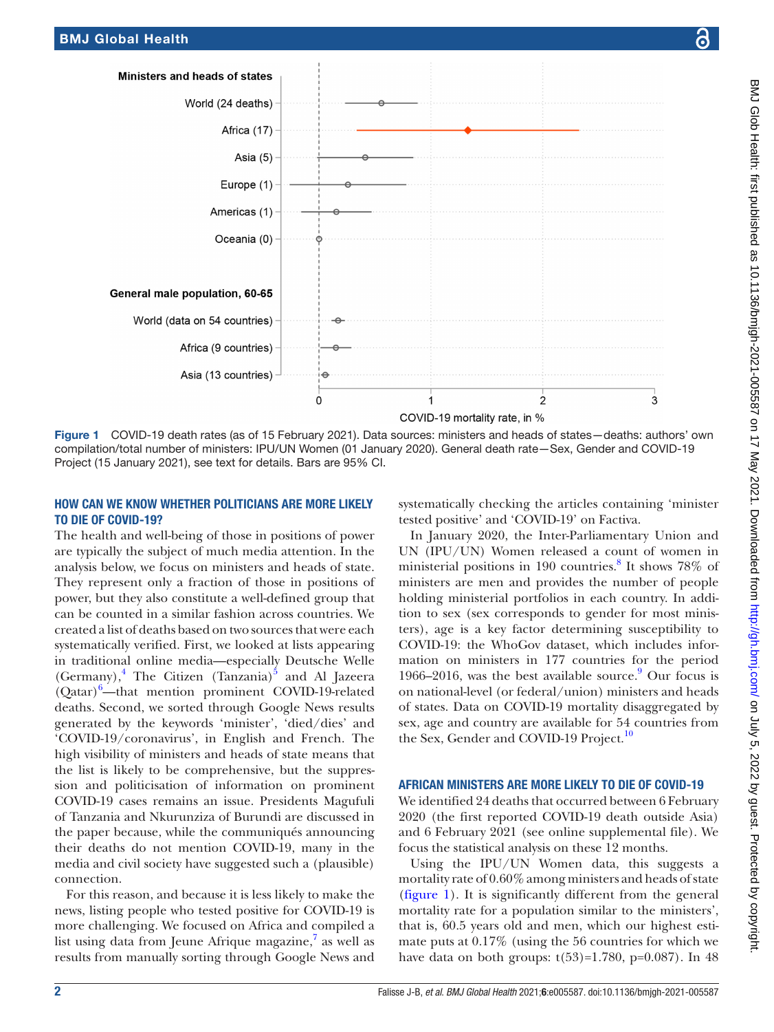

<span id="page-1-0"></span>Figure 1 COVID-19 death rates (as of 15 February 2021). Data sources: ministers and heads of states—deaths: authors' own compilation/total number of ministers: IPU/UN Women (01 January 2020). General death rate—Sex, Gender and COVID-19 Project (15 January 2021), see text for details. Bars are 95% CI.

# HOW CAN WE KNOW WHETHER POLITICIANS ARE MORE LIKELY TO DIE OF COVID-19?

The health and well-being of those in positions of power are typically the subject of much media attention. In the analysis below, we focus on ministers and heads of state. They represent only a fraction of those in positions of power, but they also constitute a well-defined group that can be counted in a similar fashion across countries. We created a list of deaths based on two sources that were each systematically verified. First, we looked at lists appearing in traditional online media—especially Deutsche Welle  $(Germany)$ ,<sup>4</sup> The Citizen (Tanzania)<sup>5</sup> and Al Jazeera (Qatar)<sup>[6](#page-4-4)</sup>—that mention prominent COVID-19-related deaths. Second, we sorted through Google News results generated by the keywords 'minister', 'died/dies' and 'COVID-19/coronavirus', in English and French. The high visibility of ministers and heads of state means that the list is likely to be comprehensive, but the suppression and politicisation of information on prominent COVID-19 cases remains an issue. Presidents Magufuli of Tanzania and Nkurunziza of Burundi are discussed in the paper because, while the communiqués announcing their deaths do not mention COVID-19, many in the media and civil society have suggested such a (plausible) connection.

For this reason, and because it is less likely to make the news, listing people who tested positive for COVID-19 is more challenging. We focused on Africa and compiled a list using data from Jeune Afrique magazine,<sup>[7](#page-4-5)</sup> as well as results from manually sorting through Google News and

systematically checking the articles containing 'minister tested positive' and 'COVID-19' on Factiva.

In January 2020, the Inter-Parliamentary Union and UN (IPU/UN) Women released a count of women in ministerial positions in 190 countries.<sup>[8](#page-4-6)</sup> It shows 78% of ministers are men and provides the number of people holding ministerial portfolios in each country. In addition to sex (sex corresponds to gender for most ministers), age is a key factor determining susceptibility to COVID-19: the WhoGov dataset, which includes information on ministers in 177 countries for the period 1[9](#page-4-7)66–2016, was the best available source. Our focus is on national-level (or federal/union) ministers and heads of states. Data on COVID-19 mortality disaggregated by sex, age and country are available for 54 countries from the Sex, Gender and COVID-19 Project.<sup>10</sup>

### AFRICAN MINISTERS ARE MORE LIKELY TO DIE OF COVID-19

We identified 24 deaths that occurred between 6 February 2020 (the first reported COVID-19 death outside Asia) and 6 February 2021 (see [online supplemental file\)](https://dx.doi.org/10.1136/bmjgh-2021-005587). We focus the statistical analysis on these 12 months.

Using the IPU/UN Women data, this suggests a mortality rate of 0.60% among ministers and heads of state [\(figure](#page-1-0) 1). It is significantly different from the general mortality rate for a population similar to the ministers', that is, 60.5 years old and men, which our highest estimate puts at 0.17% (using the 56 countries for which we have data on both groups:  $t(53)=1.780$ ,  $p=0.087$ ). In 48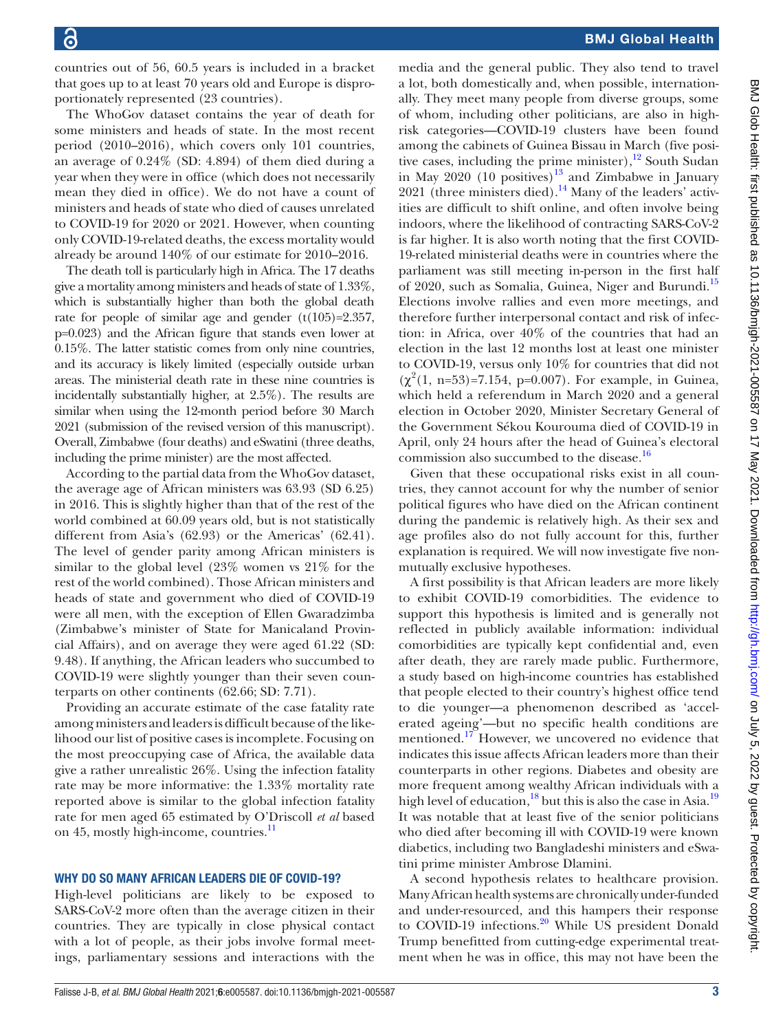countries out of 56, 60.5 years is included in a bracket that goes up to at least 70 years old and Europe is disproportionately represented (23 countries).

The WhoGov dataset contains the year of death for some ministers and heads of state. In the most recent period (2010–2016), which covers only 101 countries, an average of 0.24% (SD: 4.894) of them died during a year when they were in office (which does not necessarily mean they died in office). We do not have a count of ministers and heads of state who died of causes unrelated to COVID-19 for 2020 or 2021. However, when counting only COVID-19-related deaths, the excess mortality would already be around 140% of our estimate for 2010–2016.

The death toll is particularly high in Africa. The 17 deaths give a mortality among ministers and heads of state of 1.33%, which is substantially higher than both the global death rate for people of similar age and gender  $(t(105)=2.357)$ , p=0.023) and the African figure that stands even lower at 0.15%. The latter statistic comes from only nine countries, and its accuracy is likely limited (especially outside urban areas. The ministerial death rate in these nine countries is incidentally substantially higher, at 2.5%). The results are similar when using the 12-month period before 30 March 2021 (submission of the revised version of this manuscript). Overall, Zimbabwe (four deaths) and eSwatini (three deaths, including the prime minister) are the most affected.

According to the partial data from the WhoGov dataset, the average age of African ministers was 63.93 (SD 6.25) in 2016. This is slightly higher than that of the rest of the world combined at 60.09 years old, but is not statistically different from Asia's (62.93) or the Americas' (62.41). The level of gender parity among African ministers is similar to the global level (23% women vs 21% for the rest of the world combined). Those African ministers and heads of state and government who died of COVID-19 were all men, with the exception of Ellen Gwaradzimba (Zimbabwe's minister of State for Manicaland Provincial Affairs), and on average they were aged 61.22 (SD: 9.48). If anything, the African leaders who succumbed to COVID-19 were slightly younger than their seven counterparts on other continents (62.66; SD: 7.71).

Providing an accurate estimate of the case fatality rate among ministers and leaders is difficult because of the likelihood our list of positive cases is incomplete. Focusing on the most preoccupying case of Africa, the available data give a rather unrealistic 26%. Using the infection fatality rate may be more informative: the 1.33% mortality rate reported above is similar to the global infection fatality rate for men aged 65 estimated by O'Driscoll *et al* based on 45, mostly high-income, countries.<sup>[11](#page-4-9)</sup>

### WHY DO SO MANY AFRICAN LEADERS DIE OF COVID-19?

High-level politicians are likely to be exposed to SARS-CoV-2 more often than the average citizen in their countries. They are typically in close physical contact with a lot of people, as their jobs involve formal meetings, parliamentary sessions and interactions with the

# BMJ Global Health

media and the general public. They also tend to travel a lot, both domestically and, when possible, internationally. They meet many people from diverse groups, some of whom, including other politicians, are also in highrisk categories—COVID-19 clusters have been found among the cabinets of Guinea Bissau in March (five positive cases, including the prime minister), $12$  South Sudan in May 2020  $(10 \text{ positives})^{13}$  $(10 \text{ positives})^{13}$  $(10 \text{ positives})^{13}$  and Zimbabwe in January 2021 (three ministers died).<sup>14</sup> Many of the leaders' activities are difficult to shift online, and often involve being indoors, where the likelihood of contracting SARS-CoV-2 is far higher. It is also worth noting that the first COVID-19-related ministerial deaths were in countries where the parliament was still meeting in-person in the first half of 2020, such as Somalia, Guinea, Niger and Burundi.<sup>[15](#page-5-2)</sup> Elections involve rallies and even more meetings, and therefore further interpersonal contact and risk of infection: in Africa, over 40% of the countries that had an election in the last 12 months lost at least one minister to COVID-19, versus only 10% for countries that did not  $(\chi^2(1, n=53)=7.154, p=0.007)$ . For example, in Guinea, which held a referendum in March 2020 and a general election in October 2020, Minister Secretary General of the Government Sékou Kourouma died of COVID-19 in April, only 24 hours after the head of Guinea's electoral commission also succumbed to the disease.<sup>16</sup>

Given that these occupational risks exist in all countries, they cannot account for why the number of senior political figures who have died on the African continent during the pandemic is relatively high. As their sex and age profiles also do not fully account for this, further explanation is required. We will now investigate five nonmutually exclusive hypotheses.

A first possibility is that African leaders are more likely to exhibit COVID-19 comorbidities. The evidence to support this hypothesis is limited and is generally not reflected in publicly available information: individual comorbidities are typically kept confidential and, even after death, they are rarely made public. Furthermore, a study based on high-income countries has established that people elected to their country's highest office tend to die younger—a phenomenon described as 'accelerated ageing'—but no specific health conditions are mentioned.<sup>17</sup> However, we uncovered no evidence that indicates this issue affects African leaders more than their counterparts in other regions. Diabetes and obesity are more frequent among wealthy African individuals with a high level of education, $^{18}$  but this is also the case in Asia.<sup>19</sup> It was notable that at least five of the senior politicians who died after becoming ill with COVID-19 were known diabetics, including two Bangladeshi ministers and eSwatini prime minister Ambrose Dlamini.

A second hypothesis relates to healthcare provision. Many African health systems are chronically under-funded and under-resourced, and this hampers their response to COVID-19 infections.<sup>[20](#page-5-7)</sup> While US president Donald Trump benefitted from cutting-edge experimental treatment when he was in office, this may not have been the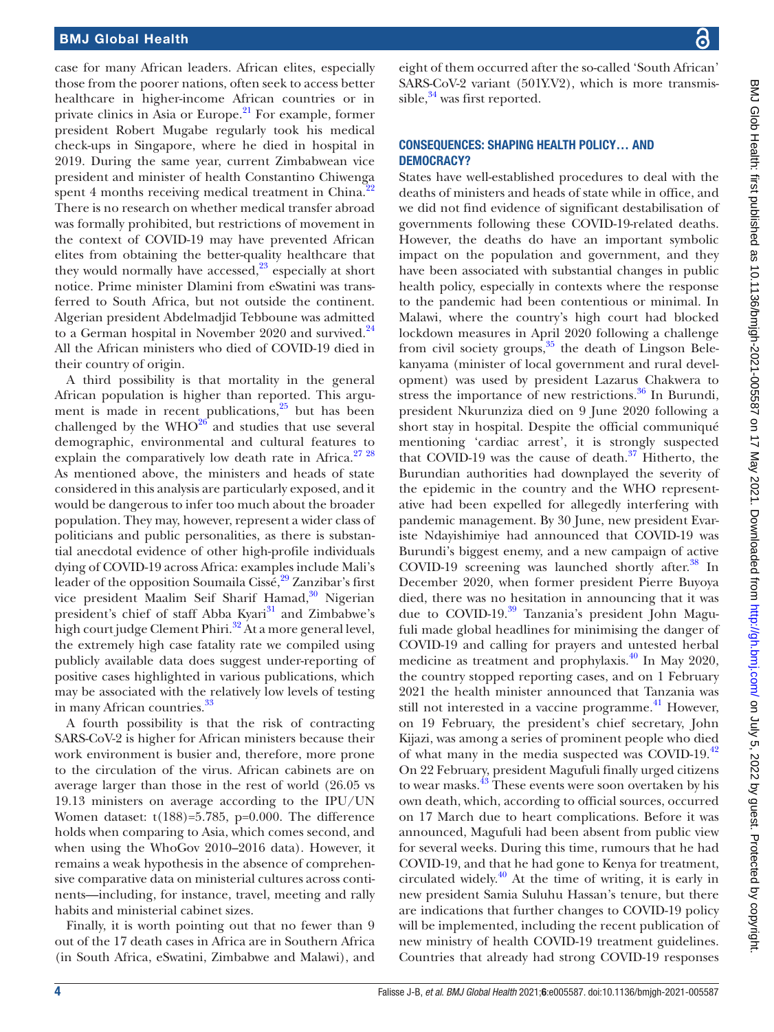case for many African leaders. African elites, especially those from the poorer nations, often seek to access better healthcare in higher-income African countries or in private clinics in Asia or Europe. $^{21}$  For example, former president Robert Mugabe regularly took his medical check-ups in Singapore, where he died in hospital in 2019. During the same year, current Zimbabwean vice president and minister of health Constantino Chiwenga spent 4 months receiving medical treatment in China.<sup>[22](#page-5-9)</sup> There is no research on whether medical transfer abroad was formally prohibited, but restrictions of movement in the context of COVID-19 may have prevented African elites from obtaining the better-quality healthcare that they would normally have accessed, $2^3$  especially at short notice. Prime minister Dlamini from eSwatini was transferred to South Africa, but not outside the continent. Algerian president Abdelmadjid Tebboune was admitted to a German hospital in November 2020 and survived.<sup>[24](#page-5-11)</sup> All the African ministers who died of COVID-19 died in their country of origin.

A third possibility is that mortality in the general African population is higher than reported. This argument is made in recent publications, $25$  but has been challenged by the  $WHO^{26}$  $WHO^{26}$  $WHO^{26}$  and studies that use several demographic, environmental and cultural features to explain the comparatively low death rate in Africa. $2728$ As mentioned above, the ministers and heads of state considered in this analysis are particularly exposed, and it would be dangerous to infer too much about the broader population. They may, however, represent a wider class of politicians and public personalities, as there is substantial anecdotal evidence of other high-profile individuals dying of COVID-19 across Africa: examples include Mali's leader of the opposition Soumaila Cissé,  $29$  Zanzibar's first vice president Maalim Seif Sharif Hamad,<sup>30</sup> Nigerian president's chief of staff Abba Kyari<sup>[31](#page-5-17)</sup> and Zimbabwe's high court judge Clement Phiri.<sup>32</sup> At a more general level, the extremely high case fatality rate we compiled using publicly available data does suggest under-reporting of positive cases highlighted in various publications, which may be associated with the relatively low levels of testing in many African countries.<sup>[33](#page-5-19)</sup>

A fourth possibility is that the risk of contracting SARS-CoV-2 is higher for African ministers because their work environment is busier and, therefore, more prone to the circulation of the virus. African cabinets are on average larger than those in the rest of world (26.05 vs 19.13 ministers on average according to the IPU/UN Women dataset: t(188)=5.785, p=0.000. The difference holds when comparing to Asia, which comes second, and when using the WhoGov 2010–2016 data). However, it remains a weak hypothesis in the absence of comprehensive comparative data on ministerial cultures across continents—including, for instance, travel, meeting and rally habits and ministerial cabinet sizes.

Finally, it is worth pointing out that no fewer than 9 out of the 17 death cases in Africa are in Southern Africa (in South Africa, eSwatini, Zimbabwe and Malawi), and

eight of them occurred after the so-called 'South African' SARS-CoV-2 variant (501Y.V2), which is more transmissible, $34$  was first reported.

### CONSEQUENCES: SHAPING HEALTH POLICY… AND DEMOCRACY?

States have well-established procedures to deal with the deaths of ministers and heads of state while in office, and we did not find evidence of significant destabilisation of governments following these COVID-19-related deaths. However, the deaths do have an important symbolic impact on the population and government, and they have been associated with substantial changes in public health policy, especially in contexts where the response to the pandemic had been contentious or minimal. In Malawi, where the country's high court had blocked lockdown measures in April 2020 following a challenge from civil society groups, $35$  the death of Lingson Belekanyama (minister of local government and rural development) was used by president Lazarus Chakwera to stress the importance of new restrictions. $36$  In Burundi, president Nkurunziza died on 9 June 2020 following a short stay in hospital. Despite the official communiqué mentioning 'cardiac arrest', it is strongly suspected that COVID-19 was the cause of death. $37$  Hitherto, the Burundian authorities had downplayed the severity of the epidemic in the country and the WHO representative had been expelled for allegedly interfering with pandemic management. By 30 June, new president Evariste Ndayishimiye had announced that COVID-19 was Burundi's biggest enemy, and a new campaign of active COVID-19 screening was launched shortly after. $38$  In December 2020, when former president Pierre Buyoya died, there was no hesitation in announcing that it was due to COVID-19.<sup>39</sup> Tanzania's president John Magufuli made global headlines for minimising the danger of COVID-19 and calling for prayers and untested herbal medicine as treatment and prophylaxis.[40](#page-5-26) In May 2020, the country stopped reporting cases, and on 1 February 2021 the health minister announced that Tanzania was still not interested in a vaccine programme. $^{41}$  However, on 19 February, the president's chief secretary, John Kijazi, was among a series of prominent people who died of what many in the media suspected was COVID-19.<sup>[42](#page-5-28)</sup> On 22 February, president Magufuli finally urged citizens to wear masks.<sup>[43](#page-5-29)</sup> These events were soon overtaken by his own death, which, according to official sources, occurred on 17 March due to heart complications. Before it was announced, Magufuli had been absent from public view for several weeks. During this time, rumours that he had COVID-19, and that he had gone to Kenya for treatment, circulated widely. $40$  At the time of writing, it is early in new president Samia Suluhu Hassan's tenure, but there are indications that further changes to COVID-19 policy will be implemented, including the recent publication of new ministry of health COVID-19 treatment guidelines. Countries that already had strong COVID-19 responses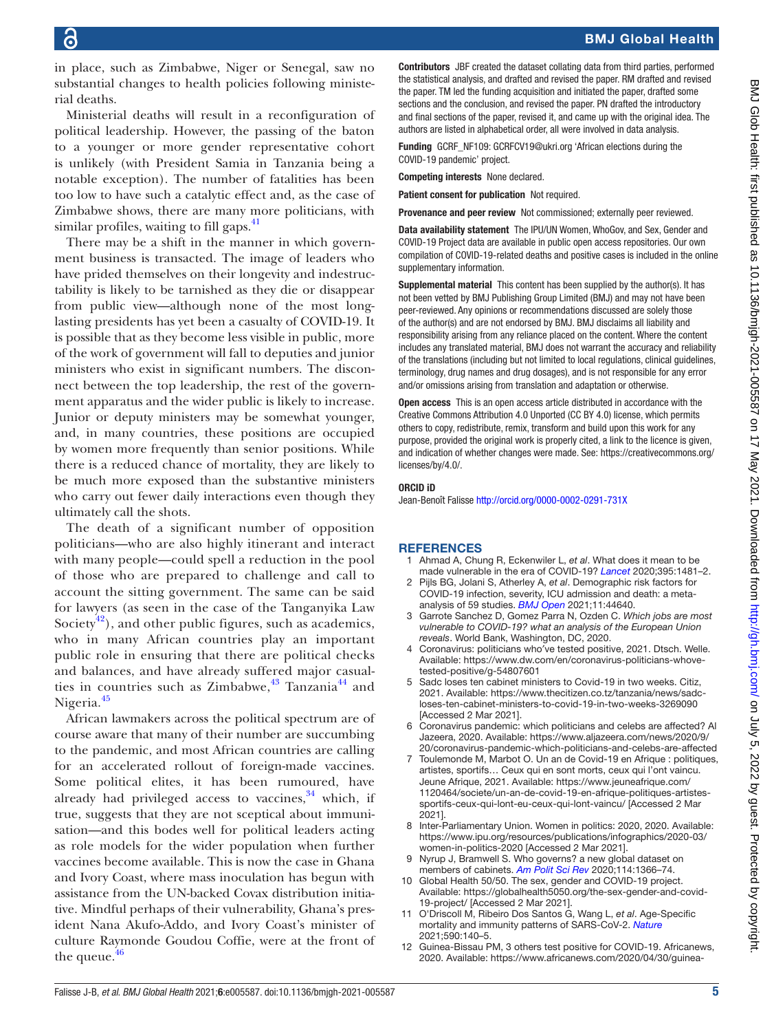in place, such as Zimbabwe, Niger or Senegal, saw no substantial changes to health policies following ministerial deaths.

Ministerial deaths will result in a reconfiguration of political leadership. However, the passing of the baton to a younger or more gender representative cohort is unlikely (with President Samia in Tanzania being a notable exception). The number of fatalities has been too low to have such a catalytic effect and, as the case of Zimbabwe shows, there are many more politicians, with similar profiles, waiting to fill gaps.<sup>41</sup>

There may be a shift in the manner in which government business is transacted. The image of leaders who have prided themselves on their longevity and indestructability is likely to be tarnished as they die or disappear from public view—although none of the most longlasting presidents has yet been a casualty of COVID-19. It is possible that as they become less visible in public, more of the work of government will fall to deputies and junior ministers who exist in significant numbers. The disconnect between the top leadership, the rest of the government apparatus and the wider public is likely to increase. Junior or deputy ministers may be somewhat younger, and, in many countries, these positions are occupied by women more frequently than senior positions. While there is a reduced chance of mortality, they are likely to be much more exposed than the substantive ministers who carry out fewer daily interactions even though they ultimately call the shots.

The death of a significant number of opposition politicians—who are also highly itinerant and interact with many people—could spell a reduction in the pool of those who are prepared to challenge and call to account the sitting government. The same can be said for lawyers (as seen in the case of the Tanganyika Law Society<sup>42</sup>), and other public figures, such as academics, who in many African countries play an important public role in ensuring that there are political checks and balances, and have already suffered major casualties in countries such as Zimbabwe, $^{43}$  $^{43}$  $^{43}$  Tanzania $^{44}$  $^{44}$  $^{44}$  and Nigeria.<sup>[45](#page-5-31)</sup>

African lawmakers across the political spectrum are of course aware that many of their number are succumbing to the pandemic, and most African countries are calling for an accelerated rollout of foreign-made vaccines. Some political elites, it has been rumoured, have already had privileged access to vaccines, $34$  which, if true, suggests that they are not sceptical about immunisation—and this bodes well for political leaders acting as role models for the wider population when further vaccines become available. This is now the case in Ghana and Ivory Coast, where mass inoculation has begun with assistance from the UN-backed Covax distribution initiative. Mindful perhaps of their vulnerability, Ghana's president Nana Akufo-Addo, and Ivory Coast's minister of culture Raymonde Goudou Coffie, were at the front of the queue. $46$ 

Contributors JBF created the dataset collating data from third parties, performed the statistical analysis, and drafted and revised the paper. RM drafted and revised the paper. TM led the funding acquisition and initiated the paper, drafted some sections and the conclusion, and revised the paper. PN drafted the introductory and final sections of the paper, revised it, and came up with the original idea. The authors are listed in alphabetical order, all were involved in data analysis.

Funding GCRF\_NF109: GCRFCV19@ukri.org 'African elections during the COVID-19 pandemic' project.

Competing interests None declared.

Patient consent for publication Not required.

Provenance and peer review Not commissioned; externally peer reviewed.

Data availability statement The IPU/UN Women, WhoGov, and Sex, Gender and COVID-19 Project data are available in public open access repositories. Our own compilation of COVID-19-related deaths and positive cases is included in the online supplementary information.

Supplemental material This content has been supplied by the author(s). It has not been vetted by BMJ Publishing Group Limited (BMJ) and may not have been peer-reviewed. Any opinions or recommendations discussed are solely those of the author(s) and are not endorsed by BMJ. BMJ disclaims all liability and responsibility arising from any reliance placed on the content. Where the content includes any translated material, BMJ does not warrant the accuracy and reliability of the translations (including but not limited to local regulations, clinical guidelines, terminology, drug names and drug dosages), and is not responsible for any error and/or omissions arising from translation and adaptation or otherwise.

Open access This is an open access article distributed in accordance with the Creative Commons Attribution 4.0 Unported (CC BY 4.0) license, which permits others to copy, redistribute, remix, transform and build upon this work for any purpose, provided the original work is properly cited, a link to the licence is given, and indication of whether changes were made. See: [https://creativecommons.org/](https://creativecommons.org/licenses/by/4.0/) [licenses/by/4.0/](https://creativecommons.org/licenses/by/4.0/).

### ORCID iD

Jean-Benoît Falisse <http://orcid.org/0000-0002-0291-731X>

### **REFERENCES**

- <span id="page-4-0"></span>1 Ahmad A, Chung R, Eckenwiler L, *et al*. What does it mean to be made vulnerable in the era of COVID-19? *[Lancet](http://dx.doi.org/10.1016/S0140-6736(20)30979-X)* 2020;395:1481–2.
- 2 Pijls BG, Jolani S, Atherley A, *et al*. Demographic risk factors for COVID-19 infection, severity, ICU admission and death: a metaanalysis of 59 studies. *[BMJ Open](http://dx.doi.org/10.1136/bmjopen-2020-044640)* 2021;11:44640.
- <span id="page-4-1"></span>3 Garrote Sanchez D, Gomez Parra N, Ozden C. *Which jobs are most vulnerable to COVID-19? what an analysis of the European Union reveals*. World Bank, Washington, DC, 2020.
- <span id="page-4-2"></span>4 Coronavirus: politicians who′ve tested positive, 2021. Dtsch. Welle. Available: [https://www.dw.com/en/coronavirus-politicians-whove](https://www.dw.com/en/coronavirus-politicians-whove-tested-positive/g-54807601)[tested-positive/g-54807601](https://www.dw.com/en/coronavirus-politicians-whove-tested-positive/g-54807601)
- <span id="page-4-3"></span>5 Sadc loses ten cabinet ministers to Covid-19 in two weeks. Citiz, 2021. Available: [https://www.thecitizen.co.tz/tanzania/news/sadc](https://www.thecitizen.co.tz/tanzania/news/sadc-loses-ten-cabinet-ministers-to-covid-19-in-two-weeks-3269090)[loses-ten-cabinet-ministers-to-covid-19-in-two-weeks-3269090](https://www.thecitizen.co.tz/tanzania/news/sadc-loses-ten-cabinet-ministers-to-covid-19-in-two-weeks-3269090) [Accessed 2 Mar 2021].
- <span id="page-4-4"></span>6 Coronavirus pandemic: which politicians and celebs are affected? Al Jazeera, 2020. Available: [https://www.aljazeera.com/news/2020/9/](https://www.aljazeera.com/news/2020/9/20/coronavirus-pandemic-which-politicians-and-celebs-are-affected) [20/coronavirus-pandemic-which-politicians-and-celebs-are-affected](https://www.aljazeera.com/news/2020/9/20/coronavirus-pandemic-which-politicians-and-celebs-are-affected)
- <span id="page-4-5"></span>7 Toulemonde M, Marbot O. Un an de Covid-19 en Afrique : politiques, artistes, sportifs… Ceux qui en sont morts, ceux qui l'ont vaincu. Jeune Afrique, 2021. Available: [https://www.jeuneafrique.com/](https://www.jeuneafrique.com/1120464/societe/un-an-de-covid-19-en-afrique-politiques-artistes-sportifs-ceux-qui-lont-eu-ceux-qui-lont-vaincu/) [1120464/societe/un-an-de-covid-19-en-afrique-politiques-artistes](https://www.jeuneafrique.com/1120464/societe/un-an-de-covid-19-en-afrique-politiques-artistes-sportifs-ceux-qui-lont-eu-ceux-qui-lont-vaincu/)[sportifs-ceux-qui-lont-eu-ceux-qui-lont-vaincu/](https://www.jeuneafrique.com/1120464/societe/un-an-de-covid-19-en-afrique-politiques-artistes-sportifs-ceux-qui-lont-eu-ceux-qui-lont-vaincu/) [Accessed 2 Mar 2021].
- <span id="page-4-6"></span>8 Inter-Parliamentary Union. Women in politics: 2020, 2020. Available: [https://www.ipu.org/resources/publications/infographics/2020-03/](https://www.ipu.org/resources/publications/infographics/2020-03/women-in-politics-2020) [women-in-politics-2020](https://www.ipu.org/resources/publications/infographics/2020-03/women-in-politics-2020) [Accessed 2 Mar 2021].
- <span id="page-4-7"></span>9 Nyrup J, Bramwell S. Who governs? a new global dataset on members of cabinets. *[Am Polit Sci Rev](http://dx.doi.org/10.1017/S0003055420000490)* 2020;114:1366–74.
- <span id="page-4-8"></span>10 Global Health 50/50. The sex, gender and COVID-19 project. Available: [https://globalhealth5050.org/the-sex-gender-and-covid-](https://globalhealth5050.org/the-sex-gender-and-covid-19-project/)[19-project/](https://globalhealth5050.org/the-sex-gender-and-covid-19-project/) [Accessed 2 Mar 2021].
- <span id="page-4-9"></span>11 O'Driscoll M, Ribeiro Dos Santos G, Wang L, *et al*. Age-Specific mortality and immunity patterns of SARS-CoV-2. *[Nature](http://dx.doi.org/10.1038/s41586-020-2918-0)* 2021;590:140–5.
- <span id="page-4-10"></span>12 Guinea-Bissau PM, 3 others test positive for COVID-19. Africanews, 2020. Available: [https://www.africanews.com/2020/04/30/guinea-](https://www.africanews.com/2020/04/30/guinea-bissau-pm-3-others-test-positive-for-covid-19/)